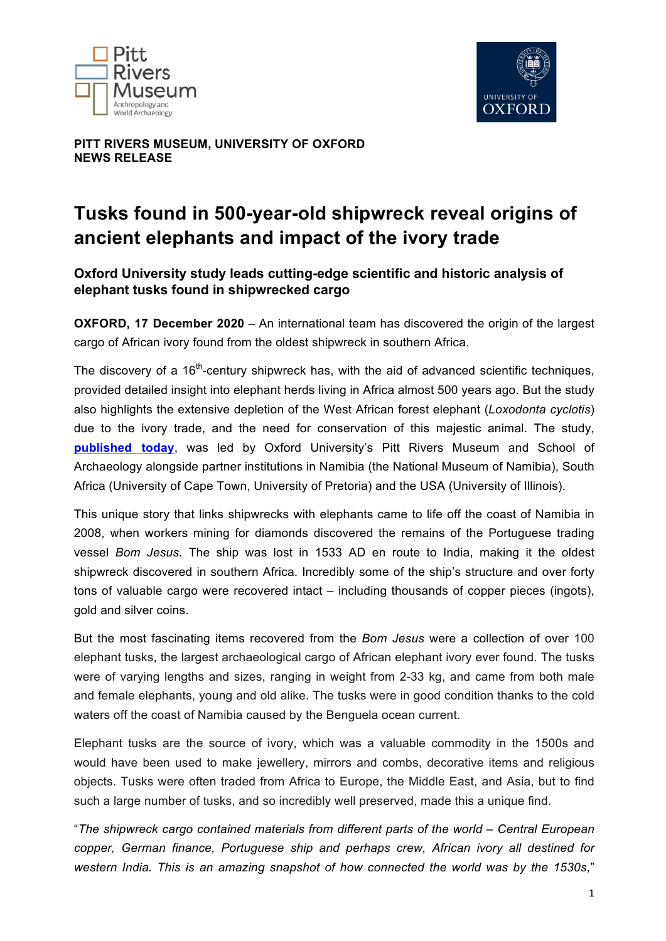



**PITT RIVERS MUSEUM, UNIVERSITY OF OXFORD NEWS RELEASE** 

# **Tusks found in 500-year-old shipwreck reveal origins of ancient elephants and impact of the ivory trade**

# **Oxford University study leads cutting-edge scientific and historic analysis of elephant tusks found in shipwrecked cargo**

**OXFORD, 17 December 2020** – An international team has discovered the origin of the largest cargo of African ivory found from the oldest shipwreck in southern Africa.

The discovery of a  $16<sup>th</sup>$ -century shipwreck has, with the aid of advanced scientific techniques, provided detailed insight into elephant herds living in Africa almost 500 years ago. But the study also highlights the extensive depletion of the West African forest elephant (*Loxodonta cyclotis*) due to the ivory trade, and the need for conservation of this majestic animal. The study, **published today**, was led by Oxford University's Pitt Rivers Museum and School of Archaeology alongside partner institutions in Namibia (the National Museum of Namibia), South Africa (University of Cape Town, University of Pretoria) and the USA (University of Illinois).

This unique story that links shipwrecks with elephants came to life off the coast of Namibia in 2008, when workers mining for diamonds discovered the remains of the Portuguese trading vessel *Bom Jesus*. The ship was lost in 1533 AD en route to India, making it the oldest shipwreck discovered in southern Africa. Incredibly some of the ship's structure and over forty tons of valuable cargo were recovered intact – including thousands of copper pieces (ingots), gold and silver coins.

But the most fascinating items recovered from the *Bom Jesus* were a collection of over 100 elephant tusks, the largest archaeological cargo of African elephant ivory ever found. The tusks were of varying lengths and sizes, ranging in weight from 2-33 kg, and came from both male and female elephants, young and old alike. The tusks were in good condition thanks to the cold waters off the coast of Namibia caused by the Benguela ocean current.

Elephant tusks are the source of ivory, which was a valuable commodity in the 1500s and would have been used to make jewellery, mirrors and combs, decorative items and religious objects. Tusks were often traded from Africa to Europe, the Middle East, and Asia, but to find such a large number of tusks, and so incredibly well preserved, made this a unique find.

"*The shipwreck cargo contained materials from different parts of the world – Central European copper, German finance, Portuguese ship and perhaps crew, African ivory all destined for western India. This is an amazing snapshot of how connected the world was by the 1530s,*"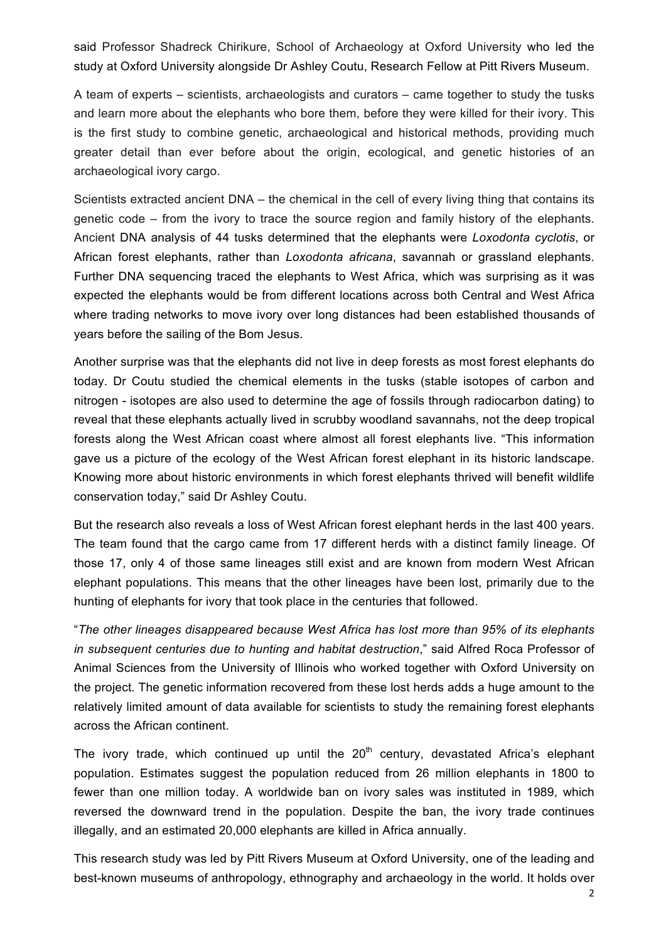said Professor Shadreck Chirikure, School of Archaeology at Oxford University who led the study at Oxford University alongside Dr Ashley Coutu, Research Fellow at Pitt Rivers Museum.

A team of experts – scientists, archaeologists and curators – came together to study the tusks and learn more about the elephants who bore them, before they were killed for their ivory. This is the first study to combine genetic, archaeological and historical methods, providing much greater detail than ever before about the origin, ecological, and genetic histories of an archaeological ivory cargo.

Scientists extracted ancient DNA – the chemical in the cell of every living thing that contains its genetic code – from the ivory to trace the source region and family history of the elephants. Ancient DNA analysis of 44 tusks determined that the elephants were *Loxodonta cyclotis*, or African forest elephants, rather than *Loxodonta africana*, savannah or grassland elephants. Further DNA sequencing traced the elephants to West Africa, which was surprising as it was expected the elephants would be from different locations across both Central and West Africa where trading networks to move ivory over long distances had been established thousands of years before the sailing of the Bom Jesus.

Another surprise was that the elephants did not live in deep forests as most forest elephants do today. Dr Coutu studied the chemical elements in the tusks (stable isotopes of carbon and nitrogen - isotopes are also used to determine the age of fossils through radiocarbon dating) to reveal that these elephants actually lived in scrubby woodland savannahs, not the deep tropical forests along the West African coast where almost all forest elephants live. "This information gave us a picture of the ecology of the West African forest elephant in its historic landscape. Knowing more about historic environments in which forest elephants thrived will benefit wildlife conservation today," said Dr Ashley Coutu.

But the research also reveals a loss of West African forest elephant herds in the last 400 years. The team found that the cargo came from 17 different herds with a distinct family lineage. Of those 17, only 4 of those same lineages still exist and are known from modern West African elephant populations. This means that the other lineages have been lost, primarily due to the hunting of elephants for ivory that took place in the centuries that followed.

"*The other lineages disappeared because West Africa has lost more than 95% of its elephants in subsequent centuries due to hunting and habitat destruction*," said Alfred Roca Professor of Animal Sciences from the University of Illinois who worked together with Oxford University on the project. The genetic information recovered from these lost herds adds a huge amount to the relatively limited amount of data available for scientists to study the remaining forest elephants across the African continent.

The ivory trade, which continued up until the  $20<sup>th</sup>$  century, devastated Africa's elephant population. Estimates suggest the population reduced from 26 million elephants in 1800 to fewer than one million today. A worldwide ban on ivory sales was instituted in 1989, which reversed the downward trend in the population. Despite the ban, the ivory trade continues illegally, and an estimated 20,000 elephants are killed in Africa annually.

This research study was led by Pitt Rivers Museum at Oxford University, one of the leading and best-known museums of anthropology, ethnography and archaeology in the world. It holds over